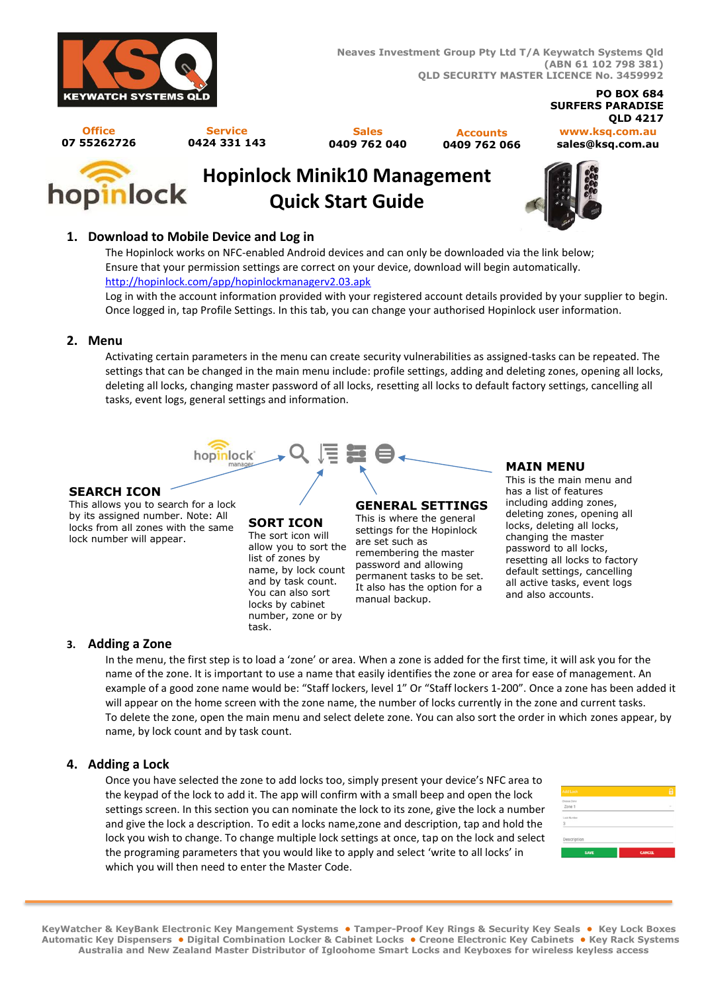

#### **PO BOX 684 SURFERS PARADISE QLD 4217**

**Office 07 55262726**

**Service 0424 331 143**

**Sales 0409 762 040**

**Accounts 0409 762 066**

#### **www.ksq.com.au sales@ksq.com.au**



# **Hopinlock Minik10 Management Quick Start Guide**



## **1. Download to Mobile Device and Log in**

The Hopinlock works on NFC-enabled Android devices and can only be downloaded via the link below; Ensure that your permission settings are correct on your device, download will begin automatically. <http://hopinlock.com/app/hopinlockmanagerv2.03.apk>

Log in with the account information provided with your registered account details provided by your supplier to begin. Once logged in, tap Profile Settings. In this tab, you can change your authorised Hopinlock user information.

#### **2. Menu**

Activating certain parameters in the menu can create security vulnerabilities as assigned-tasks can be repeated. The settings that can be changed in the main menu include: profile settings, adding and deleting zones, opening all locks, deleting all locks, changing master password of all locks, resetting all locks to default factory settings, cancelling all tasks, event logs, general settings and information.



#### **SEARCH ICON**

This allows you to search for a lock by its assigned number. Note: All locks from all zones with the same lock number will appear.

#### **SORT ICON** The sort icon will allow you to sort the list of zones by name, by lock count and by task count. You can also sort locks by cabinet number, zone or by task.

## **GENERAL SETTINGS**

This is where the general settings for the Hopinlock are set such as remembering the master password and allowing permanent tasks to be set. It also has the option for a manual backup.

#### **MAIN MENU**

This is the main menu and has a list of features including adding zones, deleting zones, opening all locks, deleting all locks, changing the master password to all locks, resetting all locks to factory default settings, cancelling all active tasks, event logs and also accounts.

## **3. Adding a Zone**

In the menu, the first step is to load a 'zone' or area. When a zone is added for the first time, it will ask you for the name of the zone. It is important to use a name that easily identifies the zone or area for ease of management. An example of a good zone name would be: "Staff lockers, level 1" Or "Staff lockers 1-200". Once a zone has been added it will appear on the home screen with the zone name, the number of locks currently in the zone and current tasks. To delete the zone, open the main menu and select delete zone. You can also sort the order in which zones appear, by name, by lock count and by task count.

## **4. Adding a Lock**

Once you have selected the zone to add locks too, simply present your device's NFC area to the keypad of the lock to add it. The app will confirm with a small beep and open the lock settings screen. In this section you can nominate the lock to its zone, give the lock a number and give the lock a description. To edit a locks name,zone and description, tap and hold the lock you wish to change. To change multiple lock settings at once, tap on the lock and select the programing parameters that you would like to apply and select 'write to all locks' in which you will then need to enter the Master Code.



**KeyWatcher & KeyBank Electronic Key Mangement Systems • Tamper-Proof Key Rings & Security Key Seals • Key Lock Boxes Automatic Key Dispensers • Digital Combination Locker & Cabinet Locks • Creone Electronic Key Cabinets • Key Rack Systems Australia and New Zealand Master Distributor of Igloohome Smart Locks and Keyboxes for wireless keyless access**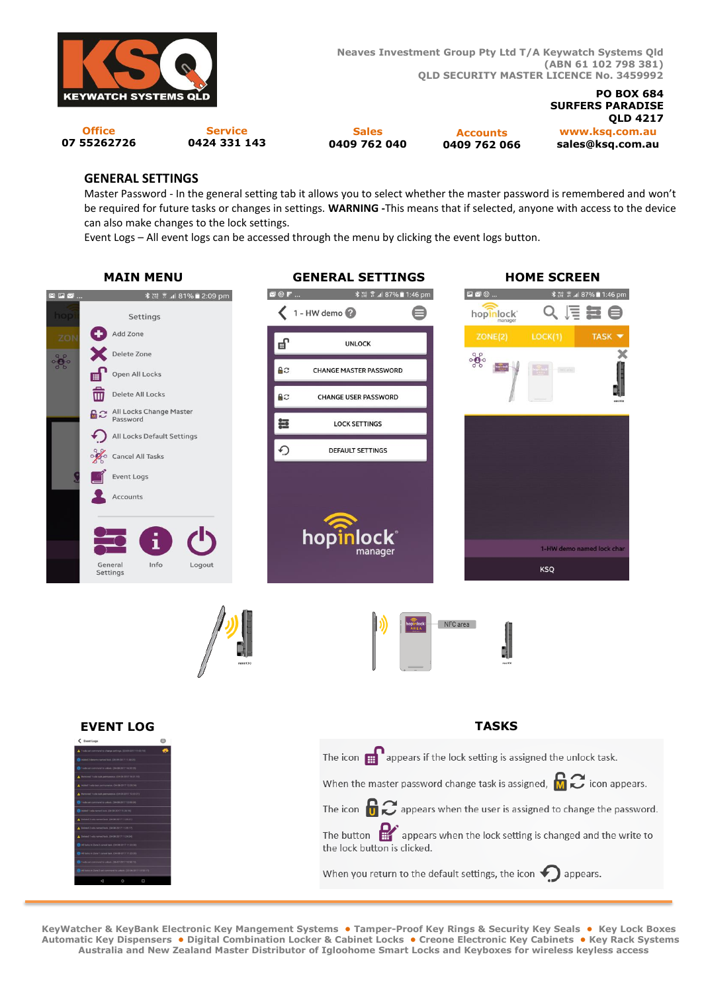

**Neaves Investment Group Pty Ltd T/A Keywatch Systems Qld (ABN 61 102 798 381) QLD SECURITY MASTER LICENCE No. 3459992** 

**Office 07 55262726**

**Service 0424 331 143**

**Sales 0409 762 040**

**Accounts 0409 762 066**

**www.ksq.com.au sales@ksq.com.au QLD 4217**

**SURFERS PARADISE** 

**PO BOX 684**

#### **GENERAL SETTINGS**

Master Password - In the general setting tab it allows you to select whether the master password is remembered and won't be required for future tasks or changes in settings. **WARNING -**This means that if selected, anyone with access to the device can also make changes to the lock settings.

Event Logs – All event logs can be accessed through the menu by clicking the event logs button.



**KeyWatcher & KeyBank Electronic Key Mangement Systems • Tamper-Proof Key Rings & Security Key Seals • Key Lock Boxes Automatic Key Dispensers • Digital Combination Locker & Cabinet Locks • Creone Electronic Key Cabinets • Key Rack Systems Australia and New Zealand Master Distributor of Igloohome Smart Locks and Keyboxes for wireless keyless access**